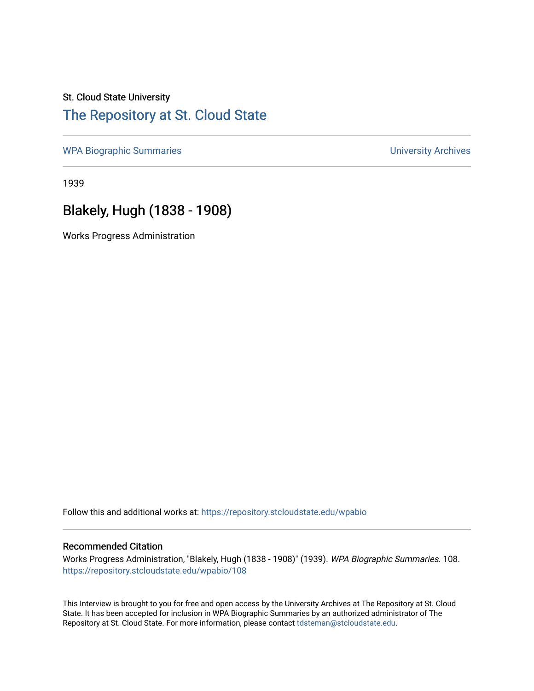## St. Cloud State University [The Repository at St. Cloud State](https://repository.stcloudstate.edu/)

[WPA Biographic Summaries](https://repository.stcloudstate.edu/wpabio) **WPA Biographic Summaries University Archives** 

1939

# Blakely, Hugh (1838 - 1908)

Works Progress Administration

Follow this and additional works at: [https://repository.stcloudstate.edu/wpabio](https://repository.stcloudstate.edu/wpabio?utm_source=repository.stcloudstate.edu%2Fwpabio%2F108&utm_medium=PDF&utm_campaign=PDFCoverPages) 

#### Recommended Citation

Works Progress Administration, "Blakely, Hugh (1838 - 1908)" (1939). WPA Biographic Summaries. 108. [https://repository.stcloudstate.edu/wpabio/108](https://repository.stcloudstate.edu/wpabio/108?utm_source=repository.stcloudstate.edu%2Fwpabio%2F108&utm_medium=PDF&utm_campaign=PDFCoverPages) 

This Interview is brought to you for free and open access by the University Archives at The Repository at St. Cloud State. It has been accepted for inclusion in WPA Biographic Summaries by an authorized administrator of The Repository at St. Cloud State. For more information, please contact [tdsteman@stcloudstate.edu.](mailto:tdsteman@stcloudstate.edu)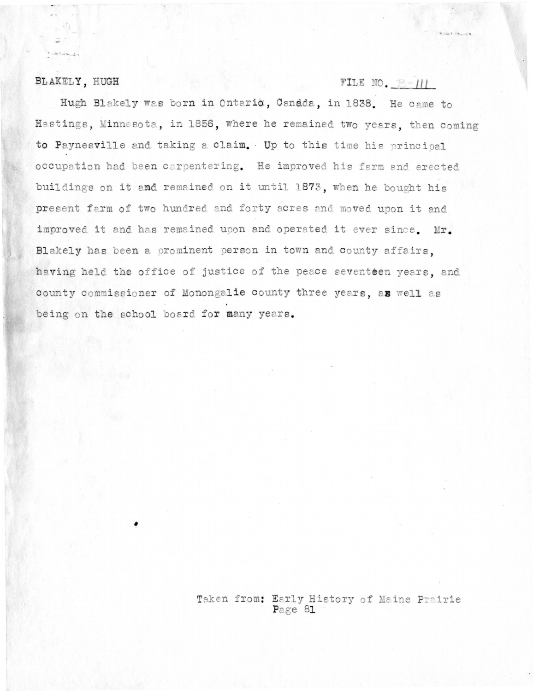#### BLAKELY, HUGH

 $22.15 - 1$ 

## FILE NO.  $B=111$

Hugh Blakely was born in Ontario, Canada, in 1838. He came to Hastings, Minnesota, in 1856, where he remained two years, then coming to Paynesville and taking a claim. Up to this time his principal occupation had been carpentering. He improved his farm and erected buildings on it and remained on it until 1873, when he bought his present farm of two hundred and forty acres and moved upon it and improved it and has remained upon and operated it ever since. Mr. Blakely has been a prominent person in town and county affairs. having held the office of justice of the peace seventeen years, and county commissioner of Monongalie county three years, as well as being on the school board for many years.

> Taken from: Early History of Maine Prairie Page 81